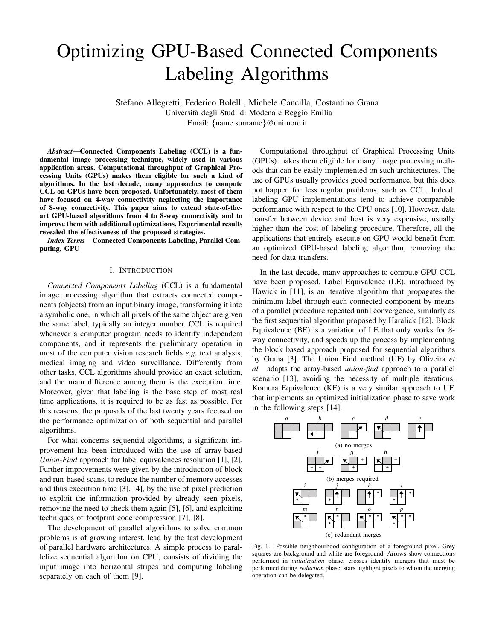# Optimizing GPU-Based Connected Components Labeling Algorithms

Stefano Allegretti, Federico Bolelli, Michele Cancilla, Costantino Grana Universita degli Studi di Modena e Reggio Emilia ` Email: {name.surname}@unimore.it

*Abstract*—Connected Components Labeling (CCL) is a fundamental image processing technique, widely used in various application areas. Computational throughput of Graphical Processing Units (GPUs) makes them eligible for such a kind of algorithms. In the last decade, many approaches to compute CCL on GPUs have been proposed. Unfortunately, most of them have focused on 4-way connectivity neglecting the importance of 8-way connectivity. This paper aims to extend state-of-theart GPU-based algorithms from 4 to 8-way connectivity and to improve them with additional optimizations. Experimental results revealed the effectiveness of the proposed strategies.

*Index Terms*—Connected Components Labeling, Parallel Computing, GPU

## I. INTRODUCTION

*Connected Components Labeling* (CCL) is a fundamental image processing algorithm that extracts connected components (objects) from an input binary image, transforming it into a symbolic one, in which all pixels of the same object are given the same label, typically an integer number. CCL is required whenever a computer program needs to identify independent components, and it represents the preliminary operation in most of the computer vision research fields *e.g.* text analysis, medical imaging and video surveillance. Differently from other tasks, CCL algorithms should provide an exact solution, and the main difference among them is the execution time. Moreover, given that labeling is the base step of most real time applications, it is required to be as fast as possible. For this reasons, the proposals of the last twenty years focused on the performance optimization of both sequential and parallel algorithms.

For what concerns sequential algorithms, a significant improvement has been introduced with the use of array-based *Union-Find* approach for label equivalences resolution [1], [2]. Further improvements were given by the introduction of block and run-based scans, to reduce the number of memory accesses and thus execution time [3], [4], by the use of pixel prediction to exploit the information provided by already seen pixels, removing the need to check them again [5], [6], and exploiting  $\frac{m}{m}$ techniques of footprint code compression [7], [8].

The development of parallel algorithms to solve common problems is of growing interest, lead by the fast development of parallel hardware architectures. A simple process to parallelize sequential algorithm on CPU, consists of dividing the input image into horizontal stripes and computing labeling separately on each of them [9].

Computational throughput of Graphical Processing Units (GPUs) makes them eligible for many image processing methods that can be easily implemented on such architectures. The use of GPUs usually provides good performance, but this does not happen for less regular problems, such as CCL. Indeed, labeling GPU implementations tend to achieve comparable performance with respect to the CPU ones [10]. However, data transfer between device and host is very expensive, usually higher than the cost of labeling procedure. Therefore, all the applications that entirely execute on GPU would benefit from an optimized GPU-based labeling algorithm, removing the need for data transfers.

In the last decade, many approaches to compute GPU-CCL have been proposed. Label Equivalence (LE), introduced by Hawick in [11], is an iterative algorithm that propagates the minimum label through each connected component by means of a parallel procedure repeated until convergence, similarly as the first sequential algorithm proposed by Haralick [12]. Block Equivalence (BE) is a variation of LE that only works for 8 way connectivity, and speeds up the process by implementing the block based approach proposed for sequential algorithms by Grana [3]. The Union Find method (UF) by Oliveira *et al.* adapts the array-based *union-find* approach to a parallel scenario [13], avoiding the necessity of multiple iterations. Komura Equivalence (KE) is a very similar approach to UF, that implements an optimized initialization phase to save work in the following steps [14].



s Fig. 1. Possible neighbourhood configuration of a foreground pixel. Grey squares are background and white are foreground. Arrows show connections performed in *initialization* phase, crosses identify mergers that must be performed during *reduction* phase, stars highlight pixels to whom the merging operation can be delegated.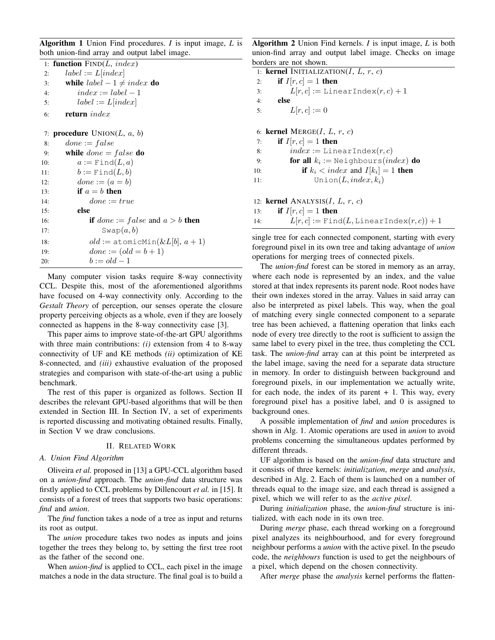Algorithm 1 Union Find procedures. *I* is input image, *L* is both union-find array and output label image.

|     | 1: <b>function</b> $\text{FIND}(L, \text{index})$             |
|-----|---------------------------------------------------------------|
| 2:  | $label := L index $                                           |
| 3:  | while $label -1 \neq index$ do                                |
| 4:  | $index := label - 1$                                          |
| 5:  | $label := L index $                                           |
| 6:  | <b>return</b> index                                           |
|     | 7: <b>procedure</b> $UNION(L, a, b)$                          |
| 8:  | $done := false$                                               |
| 9:  | while $done = false$ do                                       |
| 10: | $a := \text{Find}(L, a)$                                      |
| 11: | $b := \text{Find}(L, b)$                                      |
| 12: | $done := (a = b)$                                             |
| 13: | if $a = b$ then                                               |
| 14: | $done := true$                                                |
| 15: | else                                                          |
| 16: | <b>if</b> <i>done</i> := <i>false</i> and $a > b$ <b>then</b> |
| 17: | Swap $(a, b)$                                                 |
| 18: | $old := \text{atomicMin}(\&L[b], a+1)$                        |
| 19: | $done := (old = b + 1)$                                       |
| 20: | $b := old - 1$                                                |

Many computer vision tasks require 8-way connectivity CCL. Despite this, most of the aforementioned algorithms have focused on 4-way connectivity only. According to the *Gestalt Theory* of perception, our senses operate the closure property perceiving objects as a whole, even if they are loosely connected as happens in the 8-way connectivity case [3].

This paper aims to improve state-of-the-art GPU algorithms with three main contributions: *(i)* extension from 4 to 8-way connectivity of UF and KE methods *(ii)* optimization of KE 8-connected, and *(iii)* exhaustive evaluation of the proposed strategies and comparison with state-of-the-art using a public benchmark.

The rest of this paper is organized as follows. Section II describes the relevant GPU-based algorithms that will be then extended in Section III. In Section IV, a set of experiments is reported discussing and motivating obtained results. Finally, in Section V we draw conclusions.

# II. RELATED WORK

# *A. Union Find Algorithm*

Oliveira *et al.* proposed in [13] a GPU-CCL algorithm based on a *union-find* approach. The *union-find* data structure was firstly applied to CCL problems by Dillencourt *et al.* in [15]. It consists of a forest of trees that supports two basic operations: *find* and *union*.

The *find* function takes a node of a tree as input and returns its root as output.

The *union* procedure takes two nodes as inputs and joins together the trees they belong to, by setting the first tree root as the father of the second one.

When *union-find* is applied to CCL, each pixel in the image matches a node in the data structure. The final goal is to build a Algorithm 2 Union Find kernels. *I* is input image, *L* is both union-find array and output label image. Checks on image borders are not shown.

|     | 1: <b>kernel</b> INITIALIZATION(I, L, r, c)                  |
|-----|--------------------------------------------------------------|
| 2:  | if $I[r, c] = 1$ then                                        |
| 3:  | $L[r,c] :=$ LinearIndex $(r,c) + 1$                          |
| 4:  | else                                                         |
| 5:  | $L[r,c] := 0$                                                |
|     |                                                              |
|     | 6: <b>kernel</b> MERGE $(I, L, r, c)$                        |
| 7:  | if $I[r, c] = 1$ then                                        |
| 8:  | $index := LinearIndex(r, c)$                                 |
| 9:  | <b>for all</b> $k_i :=$ Neighbours( <i>index</i> ) <b>do</b> |
| 10: | if $k_i$ < index and $I[k_i] = 1$ then                       |
| 11: | Union $(L, index, k_i)$                                      |
|     |                                                              |
|     | 12: <b>kernel</b> ANALYSIS(I, L, r, c)                       |
|     | if $I[r, c] = 1$ then<br>13:                                 |
| 14: | $L[r,c] := \text{Find}(L,\text{LinearIndex}(r,c)) + 1$       |

single tree for each connected component, starting with every foreground pixel in its own tree and taking advantage of *union* operations for merging trees of connected pixels.

The *union-find* forest can be stored in memory as an array, where each node is represented by an index, and the value stored at that index represents its parent node. Root nodes have their own indexes stored in the array. Values in said array can also be interpreted as pixel labels. This way, when the goal of matching every single connected component to a separate tree has been achieved, a flattening operation that links each node of every tree directly to the root is sufficient to assign the same label to every pixel in the tree, thus completing the CCL task. The *union-find* array can at this point be interpreted as the label image, saving the need for a separate data structure in memory. In order to distinguish between background and foreground pixels, in our implementation we actually write, for each node, the index of its parent  $+1$ . This way, every foreground pixel has a positive label, and 0 is assigned to background ones.

A possible implementation of *find* and *union* procedures is shown in Alg. 1. Atomic operations are used in *union* to avoid problems concerning the simultaneous updates performed by different threads.

UF algorithm is based on the *union-find* data structure and it consists of three kernels: *initialization*, *merge* and *analysis*, described in Alg. 2. Each of them is launched on a number of threads equal to the image size, and each thread is assigned a pixel, which we will refer to as the *active pixel*.

During *initialization* phase, the *union-find* structure is initialized, with each node in its own tree.

During *merge* phase, each thread working on a foreground pixel analyzes its neighbourhood, and for every foreground neighbour performs a *union* with the active pixel. In the pseudo code, the *neighbours* function is used to get the neighbours of a pixel, which depend on the chosen connectivity.

After *merge* phase the *analysis* kernel performs the flatten-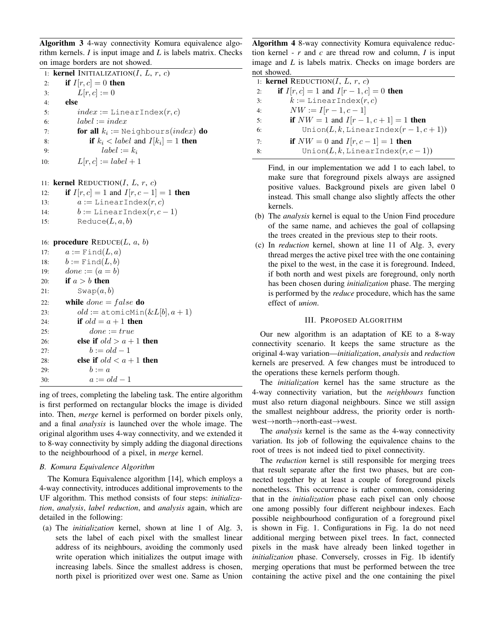Algorithm 3 4-way connectivity Komura equivalence algorithm kernels. *I* is input image and *L* is labels matrix. Checks on image borders are not showed.

1: **kernel** INITIALIZATION( $I$ ,  $L$ ,  $r$ ,  $c$ ) 2: if  $I[r, c] = 0$  then 3:  $L[r, c] := 0$ 4: else 5:  $index := LinearIndex(r, c)$ 6:  $label := index$ 7: **for all**  $k_i :=$  Neighbours $(index)$  **do** 8: **if**  $k_i$  < *label* and  $I[k_i] = 1$  **then** 9:  $label := k_i$ 10:  $L[r, c] := label + 1$ 11: **kernel REDUCTION** $(I, L, r, c)$ 

| 12: | <b>if</b> $I[r, c] = 1$ and $I[r, c - 1] = 1$ <b>then</b> |
|-----|-----------------------------------------------------------|
| 13: | $a :=$ LinearIndex $(r, c)$                               |
| 14: | $b :=$ LinearIndex $(r, c - 1)$                           |
| 15: | Reduce $(L, a, b)$                                        |

16: **procedure** REDUCE $(L, a, b)$ 

```
17: a := \text{Find}(L, a)18: b := \text{Find}(L, b)19: done := (a = b)20: if a > b then
21: Swap(a, b)22: while done = false do
23: old := \text{atomicMin}(\&L[b], a+1)24: if old = a + 1 then
25: done := true26: else if old > a + 1 then
27: b := old - 128: else if old < a + 1 then
29: b := a30: a := old - 1
```
ing of trees, completing the labeling task. The entire algorithm is first performed on rectangular blocks the image is divided into. Then, *merge* kernel is performed on border pixels only, and a final *analysis* is launched over the whole image. The original algorithm uses 4-way connectivity, and we extended it to 8-way connectivity by simply adding the diagonal directions to the neighbourhood of a pixel, in *merge* kernel.

# *B. Komura Equivalence Algorithm*

The Komura Equivalence algorithm [14], which employs a 4-way connectivity, introduces additional improvements to the UF algorithm. This method consists of four steps: *initialization*, *analysis*, *label reduction*, and *analysis* again, which are detailed in the following:

(a) The *initialization* kernel, shown at line 1 of Alg. 3, sets the label of each pixel with the smallest linear address of its neighbours, avoiding the commonly used write operation which initializes the output image with increasing labels. Since the smallest address is chosen, north pixel is prioritized over west one. Same as Union

Algorithm 4 8-way connectivity Komura equivalence reduction kernel - *r* and *c* are thread row and column, *I* is input image and *L* is labels matrix. Checks on image borders are not showed.

1: **kernel** REDUCTION( $I, L, r, c$ ) 2: **if**  $I[r, c] = 1$  and  $I[r - 1, c] = 0$  then 3:  $k :=$  LinearIndex $(r, c)$ 4:  $NW := I[r-1, c-1]$ 5: **if**  $NW = 1$  and  $I[r-1, c+1] = 1$  **then** 6: Union $(L, k, \text{LinearIndex}(r-1, c+1))$ 7: **if**  $NW = 0$  and  $I[r, c - 1] = 1$  then 8: Union $(L, k, \text{LinearIndex}(r, c-1))$ 

Find, in our implementation we add 1 to each label, to make sure that foreground pixels always are assigned positive values. Background pixels are given label 0 instead. This small change also slightly affects the other kernels.

- (b) The *analysis* kernel is equal to the Union Find procedure of the same name, and achieves the goal of collapsing the trees created in the previous step to their roots.
- (c) In *reduction* kernel, shown at line 11 of Alg. 3, every thread merges the active pixel tree with the one containing the pixel to the west, in the case it is foreground. Indeed, if both north and west pixels are foreground, only north has been chosen during *initialization* phase. The merging is performed by the *reduce* procedure, which has the same effect of *union*.

# III. PROPOSED ALGORITHM

Our new algorithm is an adaptation of KE to a 8-way connectivity scenario. It keeps the same structure as the original 4-way variation—*initialization*, *analysis* and *reduction* kernels are preserved. A few changes must be introduced to the operations these kernels perform though.

The *initialization* kernel has the same structure as the 4-way connectivity variation, but the *neighbours* function must also return diagonal neighbours. Since we still assign the smallest neighbour address, the priority order is northwest→north→north-east→west.

The *analysis* kernel is the same as the 4-way connectivity variation. Its job of following the equivalence chains to the root of trees is not indeed tied to pixel connectivity.

The *reduction* kernel is still responsible for merging trees that result separate after the first two phases, but are connected together by at least a couple of foreground pixels nonetheless. This occurrence is rather common, considering that in the *initialization* phase each pixel can only choose one among possibly four different neighbour indexes. Each possible neighbourhood configuration of a foreground pixel is shown in Fig. 1. Configurations in Fig. 1a do not need additional merging between pixel trees. In fact, connected pixels in the mask have already been linked together in *initialization* phase. Conversely, crosses in Fig. 1b identify merging operations that must be performed between the tree containing the active pixel and the one containing the pixel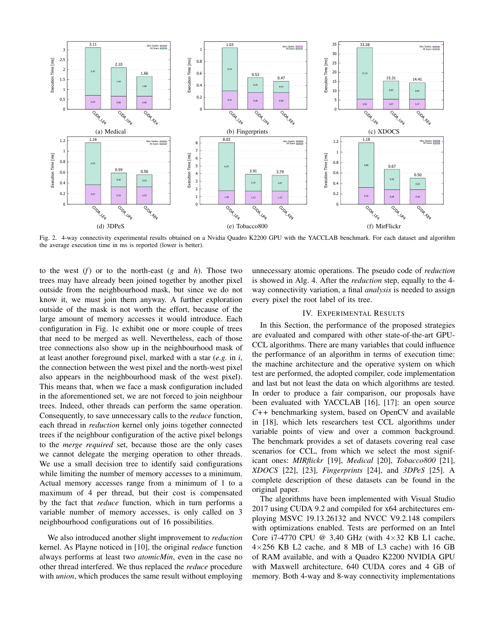

Fig. 2. 4-way connectivity experimental results obtained on a Nvidia Quadro K2200 GPU with the YACCLAB benchmark. For each dataset and algorithm the average execution time in ms is reported (lower is better).

to the west  $(f)$  or to the north-east  $(g \text{ and } h)$ . Those two trees may have already been joined together by another pixel outside from the neighbourhood mask, but since we do not know it, we must join them anyway. A further exploration outside of the mask is not worth the effort, because of the large amount of memory accesses it would introduce. Each configuration in Fig. 1c exhibit one or more couple of trees that need to be merged as well. Nevertheless, each of those tree connections also show up in the neighbourhood mask of at least another foreground pixel, marked with a star (*e.g.* in *i*, the connection between the west pixel and the north-west pixel also appears in the neighbourhood mask of the west pixel). This means that, when we face a mask configuration included in the aforementioned set, we are not forced to join neighbour trees. Indeed, other threads can perform the same operation. Consequently, to save unnecessary calls to the *reduce* function, each thread in *reduction* kernel only joins together connected trees if the neighbour configuration of the active pixel belongs to the *merge required* set, because those are the only cases we cannot delegate the merging operation to other threads. We use a small decision tree to identify said configurations while limiting the number of memory accesses to a minimum. Actual memory accesses range from a minimum of 1 to a maximum of 4 per thread, but their cost is compensated by the fact that *reduce* function, which in turn performs a variable number of memory accesses, is only called on 3 neighbourhood configurations out of 16 possibilities.

We also introduced another slight improvement to *reduction* kernel. As Playne noticed in [10], the original *reduce* function always performs at least two *atomicMin*, even in the case no other thread interfered. We thus replaced the *reduce* procedure with *union*, which produces the same result without employing unnecessary atomic operations. The pseudo code of *reduction* is showed in Alg. 4. After the *reduction* step, equally to the 4 way connectivity variation, a final *analysis* is needed to assign every pixel the root label of its tree.

#### IV. EXPERIMENTAL RESULTS

In this Section, the performance of the proposed strategies are evaluated and compared with other state-of-the-art GPU-CCL algorithms. There are many variables that could influence the performance of an algorithm in terms of execution time: the machine architecture and the operative system on which test are performed, the adopted compiler, code implementation and last but not least the data on which algorithms are tested. In order to produce a fair comparison, our proposals have been evaluated with YACCLAB [16], [17]: an open source *C++* benchmarking system, based on OpenCV and available in [18], which lets researchers test CCL algorithms under variable points of view and over a common background. The benchmark provides a set of datasets covering real case scenarios for CCL, from which we select the most significant ones: *MIRflickr* [19], *Medical* [20], *Tobacco800* [21], *XDOCS* [22], [23], *Fingerprints* [24], and *3DPeS* [25]. A complete description of these datasets can be found in the original paper.

The algorithms have been implemented with Visual Studio 2017 using CUDA 9.2 and compiled for x64 architectures employing MSVC 19.13.26132 and NVCC V9.2.148 compilers with optimizations enabled. Tests are performed on an Intel Core i7-4770 CPU @ 3,40 GHz (with  $4\times32$  KB L1 cache,  $4\times256$  KB L2 cache, and 8 MB of L3 cache) with 16 GB of RAM available, and with a Quadro K2200 NVIDIA GPU with Maxwell architecture, 640 CUDA cores and 4 GB of memory. Both 4-way and 8-way connectivity implementations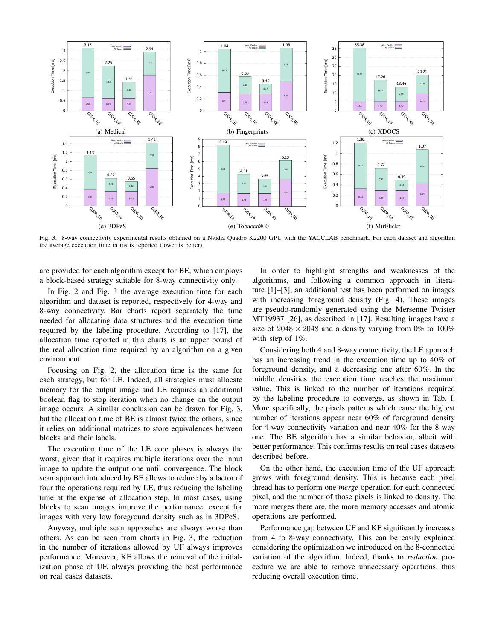

Fig. 3. 8-way connectivity experimental results obtained on a Nvidia Quadro K2200 GPU with the YACCLAB benchmark. For each dataset and algorithm the average execution time in ms is reported (lower is better).

are provided for each algorithm except for BE, which employs a block-based strategy suitable for 8-way connectivity only.

In Fig. 2 and Fig. 3 the average execution time for each algorithm and dataset is reported, respectively for 4-way and 8-way connectivity. Bar charts report separately the time needed for allocating data structures and the execution time required by the labeling procedure. According to [17], the allocation time reported in this charts is an upper bound of the real allocation time required by an algorithm on a given environment.

Focusing on Fig. 2, the allocation time is the same for each strategy, but for LE. Indeed, all strategies must allocate memory for the output image and LE requires an additional boolean flag to stop iteration when no change on the output image occurs. A similar conclusion can be drawn for Fig. 3, but the allocation time of BE is almost twice the others, since it relies on additional matrices to store equivalences between blocks and their labels.

The execution time of the LE core phases is always the worst, given that it requires multiple iterations over the input image to update the output one until convergence. The block scan approach introduced by BE allows to reduce by a factor of four the operations required by LE, thus reducing the labeling time at the expense of allocation step. In most cases, using blocks to scan images improve the performance, except for images with very low foreground density such as in 3DPeS.

Anyway, multiple scan approaches are always worse than others. As can be seen from charts in Fig. 3, the reduction in the number of iterations allowed by UF always improves performance. Moreover, KE allows the removal of the initialization phase of UF, always providing the best performance on real cases datasets.

In order to highlight strengths and weaknesses of the algorithms, and following a common approach in literature [1]–[3], an additional test has been performed on images with increasing foreground density (Fig. 4). These images are pseudo-randomly generated using the Mersenne Twister MT19937 [26], as described in [17]. Resulting images have a size of  $2048 \times 2048$  and a density varying from 0% to 100% with step of 1\%.

Considering both 4 and 8-way connectivity, the LE approach has an increasing trend in the execution time up to 40% of foreground density, and a decreasing one after 60%. In the middle densities the execution time reaches the maximum value. This is linked to the number of iterations required by the labeling procedure to converge, as shown in Tab. I. More specifically, the pixels patterns which cause the highest number of iterations appear near 60% of foreground density for 4-way connectivity variation and near 40% for the 8-way one. The BE algorithm has a similar behavior, albeit with better performance. This confirms results on real cases datasets described before.

On the other hand, the execution time of the UF approach grows with foreground density. This is because each pixel thread has to perform one *merge* operation for each connected pixel, and the number of those pixels is linked to density. The more merges there are, the more memory accesses and atomic operations are performed.

Performance gap between UF and KE significantly increases from 4 to 8-way connectivity. This can be easily explained considering the optimization we introduced on the 8-connected variation of the algorithm. Indeed, thanks to *reduction* procedure we are able to remove unnecessary operations, thus reducing overall execution time.